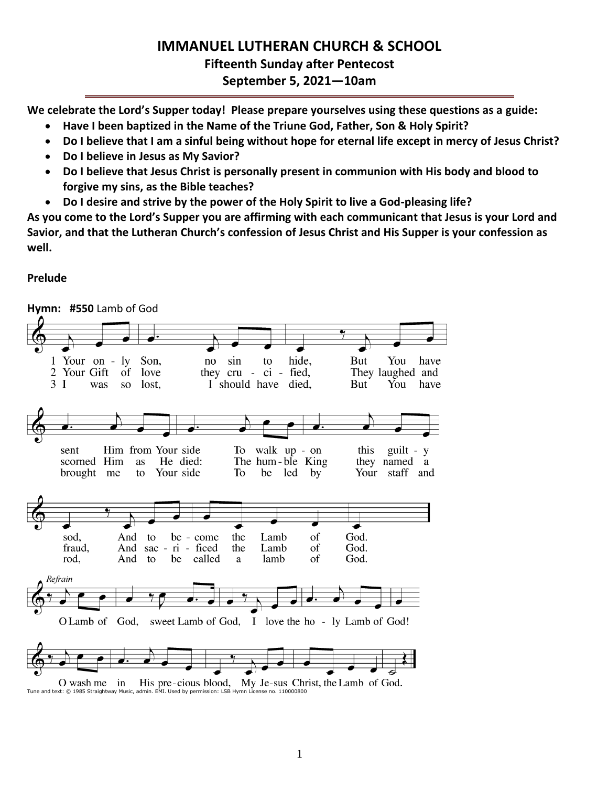# **IMMANUEL LUTHERAN CHURCH & SCHOOL Fifteenth Sunday after Pentecost September 5, 2021—10am**

**We celebrate the Lord's Supper today! Please prepare yourselves using these questions as a guide:**

- **Have I been baptized in the Name of the Triune God, Father, Son & Holy Spirit?**
- **Do I believe that I am a sinful being without hope for eternal life except in mercy of Jesus Christ?**
- **Do I believe in Jesus as My Savior?**
- **Do I believe that Jesus Christ is personally present in communion with His body and blood to forgive my sins, as the Bible teaches?**
- **Do I desire and strive by the power of the Holy Spirit to live a God-pleasing life?**

**As you come to the Lord's Supper you are affirming with each communicant that Jesus is your Lord and Savior, and that the Lutheran Church's confession of Jesus Christ and His Supper is your confession as well.**

## **Prelude**

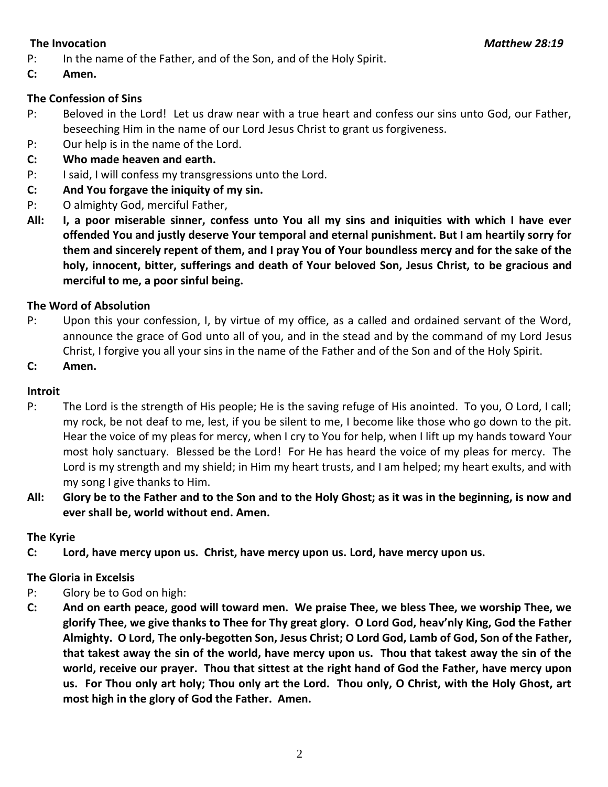- P: In the name of the Father, and of the Son, and of the Holy Spirit.
- **C: Amen.**

## **The Confession of Sins**

- P: Beloved in the Lord! Let us draw near with a true heart and confess our sins unto God, our Father, beseeching Him in the name of our Lord Jesus Christ to grant us forgiveness.
- P: Our help is in the name of the Lord.
- **C: Who made heaven and earth.**
- P: I said, I will confess my transgressions unto the Lord.
- **C: And You forgave the iniquity of my sin.**
- P: O almighty God, merciful Father,
- **All: I, a poor miserable sinner, confess unto You all my sins and iniquities with which I have ever offended You and justly deserve Your temporal and eternal punishment. But I am heartily sorry for them and sincerely repent of them, and I pray You of Your boundless mercy and for the sake of the holy, innocent, bitter, sufferings and death of Your beloved Son, Jesus Christ, to be gracious and merciful to me, a poor sinful being.**

## **The Word of Absolution**

- P: Upon this your confession, I, by virtue of my office, as a called and ordained servant of the Word, announce the grace of God unto all of you, and in the stead and by the command of my Lord Jesus Christ, I forgive you all your sins in the name of the Father and of the Son and of the Holy Spirit.
- **C: Amen.**

## **Introit**

- P: The Lord is the strength of His people; He is the saving refuge of His anointed. To you, O Lord, I call; my rock, be not deaf to me, lest, if you be silent to me, I become like those who go down to the pit. Hear the voice of my pleas for mercy, when I cry to You for help, when I lift up my hands toward Your most holy sanctuary. Blessed be the Lord! For He has heard the voice of my pleas for mercy. The Lord is my strength and my shield; in Him my heart trusts, and I am helped; my heart exults, and with my song I give thanks to Him.
- **All: Glory be to the Father and to the Son and to the Holy Ghost; as it was in the beginning, is now and ever shall be, world without end. Amen.**

## **The Kyrie**

**C: Lord, have mercy upon us. Christ, have mercy upon us. Lord, have mercy upon us.**

## **The Gloria in Excelsis**

- P: Glory be to God on high:
- **C: And on earth peace, good will toward men. We praise Thee, we bless Thee, we worship Thee, we glorify Thee, we give thanks to Thee for Thy great glory. O Lord God, heav'nly King, God the Father Almighty. O Lord, The only-begotten Son, Jesus Christ; O Lord God, Lamb of God, Son of the Father, that takest away the sin of the world, have mercy upon us. Thou that takest away the sin of the world, receive our prayer. Thou that sittest at the right hand of God the Father, have mercy upon us. For Thou only art holy; Thou only art the Lord. Thou only, O Christ, with the Holy Ghost, art most high in the glory of God the Father. Amen.**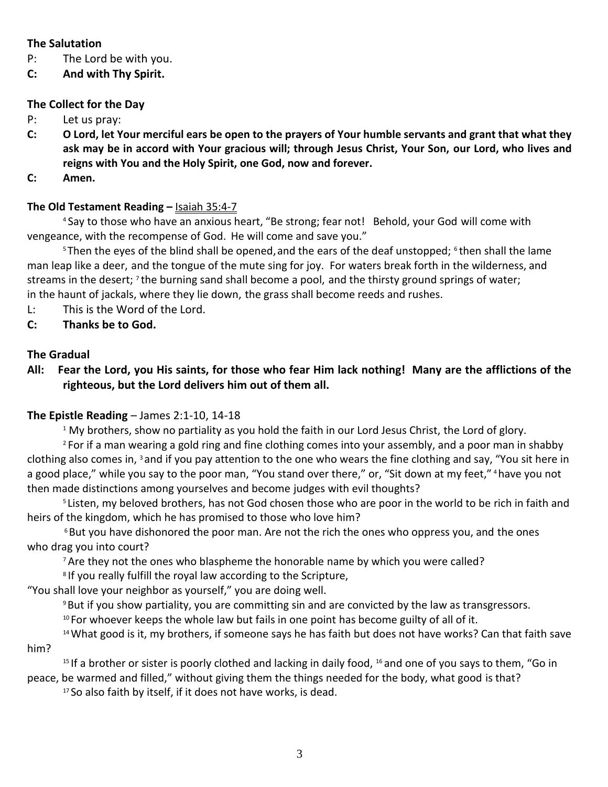#### **The Salutation**

- P: The Lord be with you.
- **C: And with Thy Spirit.**

#### **The Collect for the Day**

- P: Let us pray:
- **C: O Lord, let Your merciful ears be open to the prayers of Your humble servants and grant that what they ask may be in accord with Your gracious will; through Jesus Christ, Your Son, our Lord, who lives and reigns with You and the Holy Spirit, one God, now and forever.**
- **C: Amen.**

## **The Old Testament Reading –** Isaiah 35:4-7

<sup>4</sup> Say to those who have an anxious heart, "Be strong; fear not! Behold, your God will come with vengeance, with the recompense of God. He will come and save you."

<sup>5</sup>Then the eyes of the blind shall be opened, and the ears of the deaf unstopped;  $6$  then shall the lame man leap like a deer, and the tongue of the mute sing for joy. For waters break forth in the wilderness, and streams in the desert; <sup>7</sup> the burning sand shall become a pool, and the thirsty ground springs of water; in the haunt of jackals, where they lie down, the grass shall become reeds and rushes.

- L: This is the Word of the Lord.
- **C: Thanks be to God.**

#### **The Gradual**

**All: Fear the Lord, you His saints, for those who fear Him lack nothing! Many are the afflictions of the righteous, but the Lord delivers him out of them all.**

## **The Epistle Reading** – James 2:1-10, 14-18

<sup>1</sup> My brothers, show no partiality as you hold the faith in our Lord Jesus Christ, the Lord of glory.

<sup>2</sup> For if a man wearing a gold ring and fine clothing comes into your assembly, and a poor man in shabby clothing also comes in, <sup>3</sup> and if you pay attention to the one who wears the fine clothing and say, "You sit here in a good place," while you say to the poor man, "You stand over there," or, "Sit down at my feet," <sup>4</sup> have you not then made distinctions among yourselves and become judges with evil thoughts?

<sup>5</sup> Listen, my beloved brothers, has not God chosen those who are poor in the world to be rich in faith and heirs of the kingdom, which he has promised to those who love him?

<sup>6</sup>But you have dishonored the poor man. Are not the rich the ones who oppress you, and the ones who drag you into court?

 $7$  Are they not the ones who blaspheme the honorable name by which you were called?

<sup>8</sup> If you really fulfill the royal law according to the Scripture,

"You shall love your neighbor as yourself," you are doing well.

<sup>9</sup>But if you show partiality, you are committing sin and are convicted by the law as transgressors.

 $10$  For whoever keeps the whole law but fails in one point has become guilty of all of it.

<sup>14</sup> What good is it, my brothers, if someone says he has faith but does not have works? Can that faith save him?

<sup>15</sup> If a brother or sister is poorly clothed and lacking in daily food, <sup>16</sup> and one of you says to them, "Go in peace, be warmed and filled," without giving them the things needed for the body, what good is that?

<sup>17</sup> So also faith by itself, if it does not have works, is dead.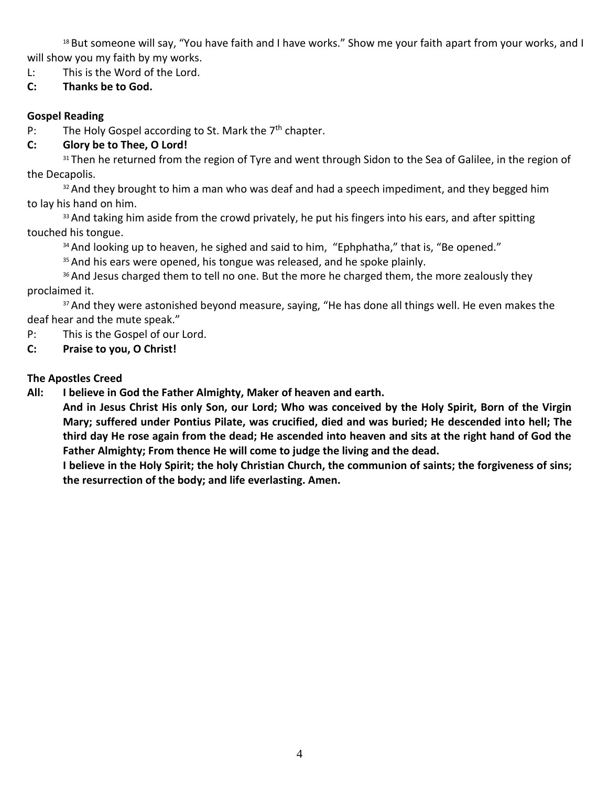<sup>18</sup> But someone will say, "You have faith and I have works." Show me your faith apart from your works, and I will show you my faith by my works.

L: This is the Word of the Lord.

#### **C: Thanks be to God.**

#### **Gospel Reading**

P: The Holy Gospel according to St. Mark the 7<sup>th</sup> chapter.

## **C: Glory be to Thee, O Lord!**

31 Then he returned from the region of Tyre and went through Sidon to the Sea of Galilee, in the region of the Decapolis.

32 And they brought to him a man who was deaf and had a speech impediment, and they begged him to lay his hand on him.

33 And taking him aside from the crowd privately, he put his fingers into his ears, and after spitting touched his tongue.

<sup>34</sup> And looking up to heaven, he sighed and said to him, "Ephphatha," that is, "Be opened."

<sup>35</sup> And his ears were opened, his tongue was released, and he spoke plainly.

<sup>36</sup> And Jesus charged them to tell no one. But the more he charged them, the more zealously they proclaimed it.

<sup>37</sup> And they were astonished beyond measure, saying, "He has done all things well. He even makes the deaf hear and the mute speak."

P: This is the Gospel of our Lord.

**C: Praise to you, O Christ!**

#### **The Apostles Creed**

**All: I believe in God the Father Almighty, Maker of heaven and earth.** 

**And in Jesus Christ His only Son, our Lord; Who was conceived by the Holy Spirit, Born of the Virgin Mary; suffered under Pontius Pilate, was crucified, died and was buried; He descended into hell; The third day He rose again from the dead; He ascended into heaven and sits at the right hand of God the Father Almighty; From thence He will come to judge the living and the dead.**

**I believe in the Holy Spirit; the holy Christian Church, the communion of saints; the forgiveness of sins; the resurrection of the body; and life everlasting. Amen.**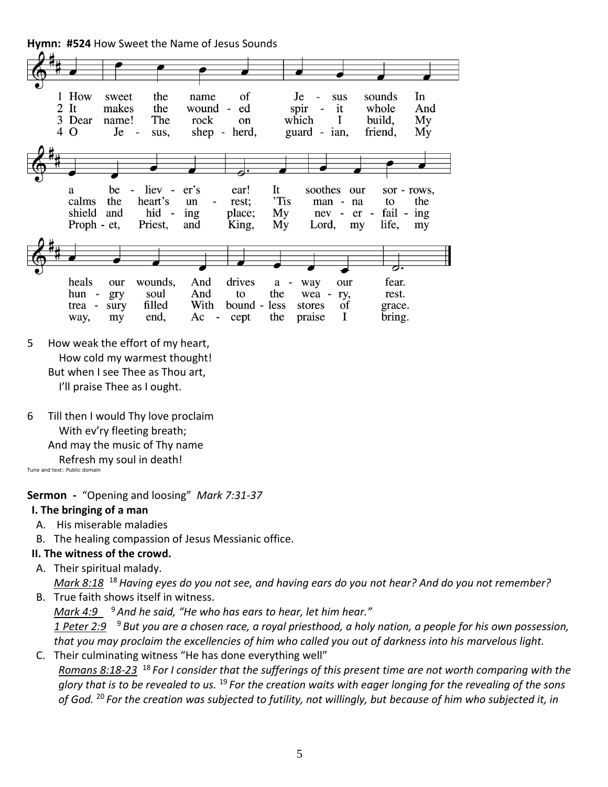**Hymn: #524** How Sweet the Name of Jesus Sounds



- 5 How weak the effort of my heart, How cold my warmest thought! But when I see Thee as Thou art, I'll praise Thee as I ought.
- 6 Till then I would Thy love proclaim With ev'ry fleeting breath; And may the music of Thy name Refresh my soul in death! Tune and text: Public domain

**Sermon -** "Opening and loosing" *Mark 7:31-37*

#### **I. The bringing of a man**

- A. His miserable maladies
- B. The healing compassion of Jesus Messianic office.
- **II. The witness of the crowd.**
- A. Their spiritual malady.

*Mark 8:18*  <sup>18</sup>*Having eyes do you not see, and having ears do you not hear? And do you not remember?* B. True faith shows itself in witness.

*Mark 4:9*  <sup>9</sup> *And he said, "He who has ears to hear, let him hear."*

*1 Peter 2:9*  <sup>9</sup> *But you are a chosen race, a royal priesthood, a holy nation, a people for his own possession, that you may proclaim the excellencies of him who called you out of darkness into his marvelous light.*

C. Their culminating witness "He has done everything well" *Romans 8:18-23*  <sup>18</sup> *For I consider that the sufferings of this present time are not worth comparing with the glory that is to be revealed to us.* <sup>19</sup> *For the creation waits with eager longing for the revealing of the sons of God.* <sup>20</sup> *For the creation was subjected to futility, not willingly, but because of him who subjected it, in*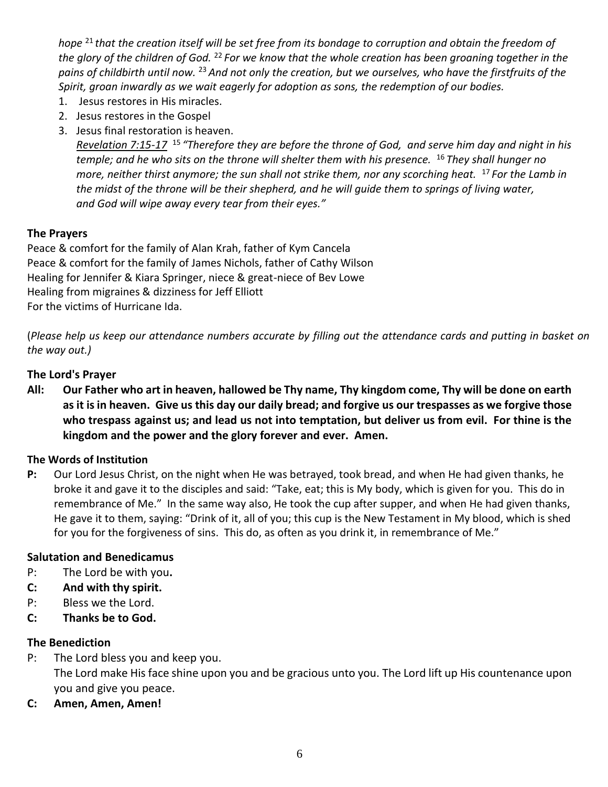*hope* <sup>21</sup> *that the creation itself will be set free from its bondage to corruption and obtain the freedom of the glory of the children of God.* <sup>22</sup> *For we know that the whole creation has been groaning together in the pains of childbirth until now.* <sup>23</sup> *And not only the creation, but we ourselves, who have the firstfruits of the Spirit, groan inwardly as we wait eagerly for adoption as sons, the redemption of our bodies.*

- 1. Jesus restores in His miracles.
- 2. Jesus restores in the Gospel
- 3. Jesus final restoration is heaven.

*Revelation 7:15-17*  <sup>15</sup> *"Therefore they are before the throne of God, and serve him day and night in his temple; and he who sits on the throne will shelter them with his presence.* <sup>16</sup> *They shall hunger no more, neither thirst anymore; the sun shall not strike them, nor any scorching heat.* <sup>17</sup> *For the Lamb in the midst of the throne will be their shepherd, and he will guide them to springs of living water, and God will wipe away every tear from their eyes."*

## **The Prayers**

Peace & comfort for the family of Alan Krah, father of Kym Cancela Peace & comfort for the family of James Nichols, father of Cathy Wilson Healing for Jennifer & Kiara Springer, niece & great-niece of Bev Lowe Healing from migraines & dizziness for Jeff Elliott For the victims of Hurricane Ida.

(*Please help us keep our attendance numbers accurate by filling out the attendance cards and putting in basket on the way out.)*

## **The Lord's Prayer**

**All: Our Father who art in heaven, hallowed be Thy name, Thy kingdom come, Thy will be done on earth as it is in heaven. Give us this day our daily bread; and forgive us our trespasses as we forgive those who trespass against us; and lead us not into temptation, but deliver us from evil. For thine is the kingdom and the power and the glory forever and ever. Amen.**

## **The Words of Institution**

**P:** Our Lord Jesus Christ, on the night when He was betrayed, took bread, and when He had given thanks, he broke it and gave it to the disciples and said: "Take, eat; this is My body, which is given for you. This do in remembrance of Me." In the same way also, He took the cup after supper, and when He had given thanks, He gave it to them, saying: "Drink of it, all of you; this cup is the New Testament in My blood, which is shed for you for the forgiveness of sins. This do, as often as you drink it, in remembrance of Me."

## **Salutation and Benedicamus**

- P: The Lord be with you**.**
- **C: And with thy spirit.**
- P: Bless we the Lord.
- **C: Thanks be to God.**

## **The Benediction**

- P: The Lord bless you and keep you. The Lord make His face shine upon you and be gracious unto you. The Lord lift up His countenance upon you and give you peace.
- **C: Amen, Amen, Amen!**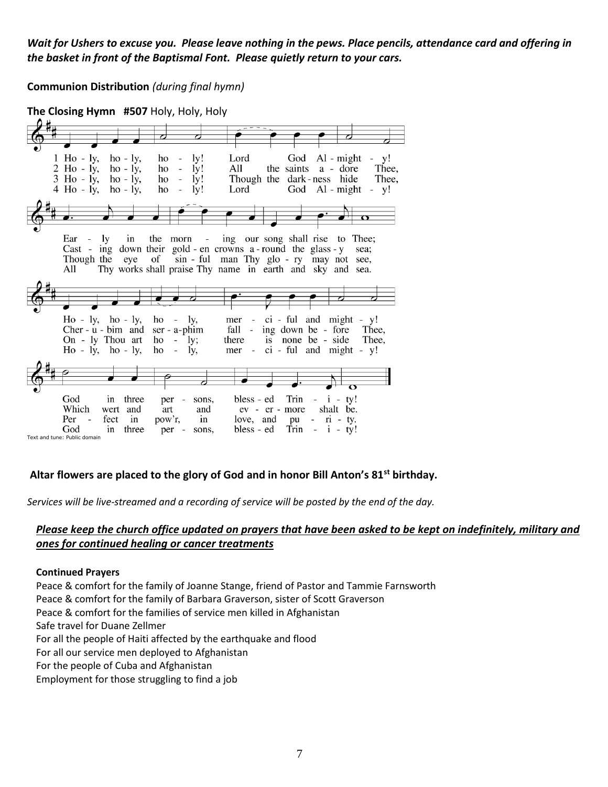*Wait for Ushers to excuse you. Please leave nothing in the pews. Place pencils, attendance card and offering in the basket in front of the Baptismal Font. Please quietly return to your cars.*

**Communion Distribution** *(during final hymn)*

**The Closing Hymn #507** Holy, Holy, Holy Lord God Al - might  $1$  Ho - ly,  $ho - ly$ , ho ly! y!  $\overline{a}$  $\mathbb{Z}^2$  $2$  Ho - ly,  $ho - iy$ ,  $1y!$ the saints a - dore Thee, ho All  $3$  Ho - ly, ho - ly, ho  $\mathbb{L}$ ly! Though the dark-ness hide Thee,  $4$  Ho - ly, ho - ly, ho  $\sim$ ly! Lord God Al - might - y! Ear ly in the morn  $\sim$   $$ ing our song shall rise to Thee; Cast - ing down their gold - en crowns a - round the glass - y sea: of sin - ful man Thy glo - ry may not see, Though the eye All Thy works shall praise Thy name in earth and sky and sea.  $Ho - ly$ , ho - ly, ho - ly, mer  $ci$  - ful and might - y! Cher -  $u$  -  $b$ im and ser - a-phim fall  $\mathcal{L}_{\mathcal{A}}$ ing down be - fore Thee, On - ly Thou art ho ly; there is none be - side Thee,  $Ho - ly, ho - ly,$ ho mer ci - ful and might - y!  $\overline{\phantom{a}}$ ly, God three sons, bless - ed Trin  $i - ty!$ in per  $\overline{\phantom{a}}$  $\sim$ Which and shalt be. wert and art ev - er - more Per fect in pow'r, in love, and pu  $ri - ty.$ three  $- i - ty!$ God in per sons, bless - ed Trin Text and tune: Public domain

#### **Altar flowers are placed to the glory of God and in honor Bill Anton's 81st birthday.**

*Services will be live-streamed and a recording of service will be posted by the end of the day.* 

#### *Please keep the church office updated on prayers that have been asked to be kept on indefinitely, military and ones for continued healing or cancer treatments*

#### **Continued Prayers**

Peace & comfort for the family of Joanne Stange, friend of Pastor and Tammie Farnsworth Peace & comfort for the family of Barbara Graverson, sister of Scott Graverson Peace & comfort for the families of service men killed in Afghanistan Safe travel for Duane Zellmer For all the people of Haiti affected by the earthquake and flood For all our service men deployed to Afghanistan For the people of Cuba and Afghanistan Employment for those struggling to find a job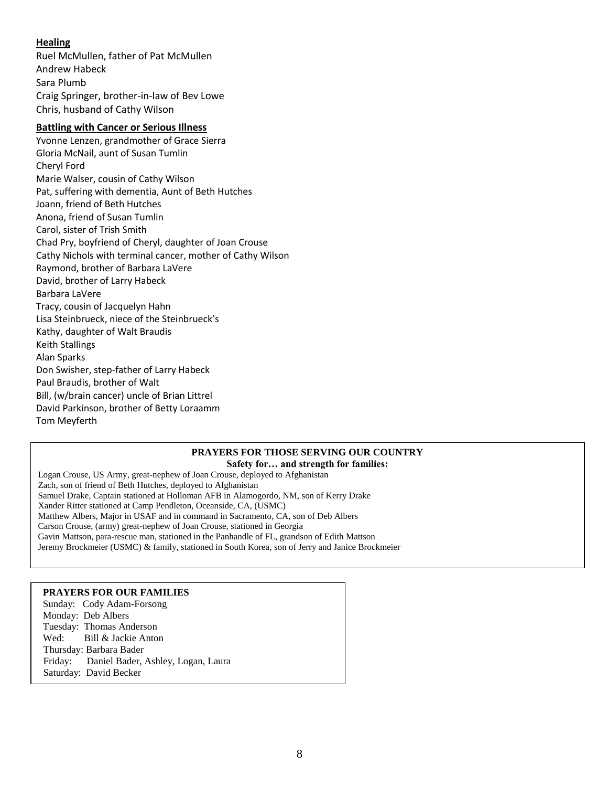#### **Healing**

Ruel McMullen, father of Pat McMullen Andrew Habeck Sara Plumb Craig Springer, brother-in-law of Bev Lowe Chris, husband of Cathy Wilson

#### **Battling with Cancer or Serious Illness**

Yvonne Lenzen, grandmother of Grace Sierra Gloria McNail, aunt of Susan Tumlin Cheryl Ford Marie Walser, cousin of Cathy Wilson Pat, suffering with dementia, Aunt of Beth Hutches Joann, friend of Beth Hutches Anona, friend of Susan Tumlin Carol, sister of Trish Smith Chad Pry, boyfriend of Cheryl, daughter of Joan Crouse Cathy Nichols with terminal cancer, mother of Cathy Wilson Raymond, brother of Barbara LaVere David, brother of Larry Habeck Barbara LaVere Tracy, cousin of Jacquelyn Hahn Lisa Steinbrueck, niece of the Steinbrueck's Kathy, daughter of Walt Braudis Keith Stallings Alan Sparks Don Swisher, step-father of Larry Habeck Paul Braudis, brother of Walt Bill, (w/brain cancer) uncle of Brian Littrel David Parkinson, brother of Betty Loraamm Tom Meyferth

#### **PRAYERS FOR THOSE SERVING OUR COUNTRY Safety for… and strength for families:**

Logan Crouse, US Army, great-nephew of Joan Crouse, deployed to Afghanistan Zach, son of friend of Beth Hutches, deployed to Afghanistan Samuel Drake, Captain stationed at Holloman AFB in Alamogordo, NM, son of Kerry Drake Xander Ritter stationed at Camp Pendleton, Oceanside, CA, (USMC) Matthew Albers, Major in USAF and in command in Sacramento, CA, son of Deb Albers Carson Crouse, (army) great-nephew of Joan Crouse, stationed in Georgia Gavin Mattson, para-rescue man, stationed in the Panhandle of FL, grandson of Edith Mattson Jeremy Brockmeier (USMC) & family, stationed in South Korea, son of Jerry and Janice Brockmeier

#### **PRAYERS FOR OUR FAMILIES**

Sunday: Cody Adam-Forsong Monday: Deb Albers Tuesday: Thomas Anderson Wed: Bill & Jackie Anton Thursday: Barbara Bader Friday: Daniel Bader, Ashley, Logan, Laura Saturday: David Becker